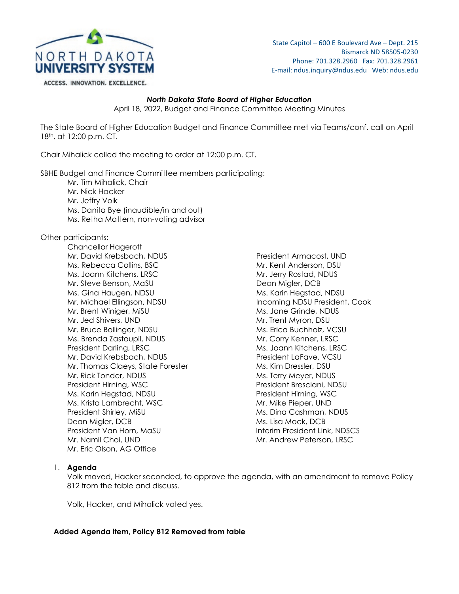

State Capitol – 600 E Boulevard Ave – Dept. 215 Bismarck ND 58505-0230 Phone: 701.328.2960 Fax: 701.328.2961 E-mail: ndus.inquiry@ndus.edu Web: ndus.edu

ACCESS. INNOVATION. EXCELLENCE.

### *North Dakota State Board of Higher Education*

April 18, 2022, Budget and Finance Committee Meeting Minutes

The State Board of Higher Education Budget and Finance Committee met via Teams/conf. call on April 18th, at 12:00 p.m. CT.

Chair Mihalick called the meeting to order at 12:00 p.m. CT.

SBHE Budget and Finance Committee members participating:

- Mr. Tim Mihalick, Chair
- Mr. Nick Hacker
- Mr. Jeffry Volk
- Ms. Danita Bye (inaudible/in and out)
- Ms. Retha Mattern, non-voting advisor

Other participants:

Chancellor Hagerott Mr. David Krebsbach, NDUS President Armacost, UND Ms. Rebecca Collins, BSC Mr. Kent Anderson, DSU Ms. Joann Kitchens, LRSC Mr. Jerry Rostad, NDUS Mr. Steve Benson, MaSU Dean Migler, DCB Ms. Gina Haugen, NDSU Ms. Karin Hegstad, NDSU Mr. Michael Ellingson, NDSU **Incoming NDSU President, Cook** Mr. Brent Winiger, MiSU Ms. Jane Grinde, NDUS Mr. Jed Shivers, UND Mr. Thent Myron, DSU Mr. Bruce Bollinger, NDSU Ms. Erica Buchholz, VCSU Ms. Brenda Zastoupil, NDUS Manuel Mr. Corry Kenner, LRSC President Darling, LRSC Ms. Joann Kitchens, LRSC Mr. David Krebsbach, NDUS President LaFave, VCSU Mr. Thomas Claeys, State Forester Ms. Kim Dressler, DSU Mr. Rick Tonder, NDUS Ms. Terry Meyer, NDUS President Hirning, WSC **President Bresciani, NDSU** Ms. Karin Hegstad, NDSU President Hirning, WSC Ms. Krista Lambrecht, WSC Mr. Mike Pieper, UND President Shirley, MiSU Ms. Dina Cashman, NDUS Dean Migler, DCB Ms. Lisa Mock, DCB President Van Horn, MaSU **Interim President Link, NDSCS** Mr. Namil Choi, UND Mr. Andrew Peterson, LRSC Mr. Eric Olson, AG Office

# 1. **Agenda**

Volk moved, Hacker seconded, to approve the agenda, with an amendment to remove Policy 812 from the table and discuss.

Volk, Hacker, and Mihalick voted yes.

# **Added Agenda item, Policy 812 Removed from table**